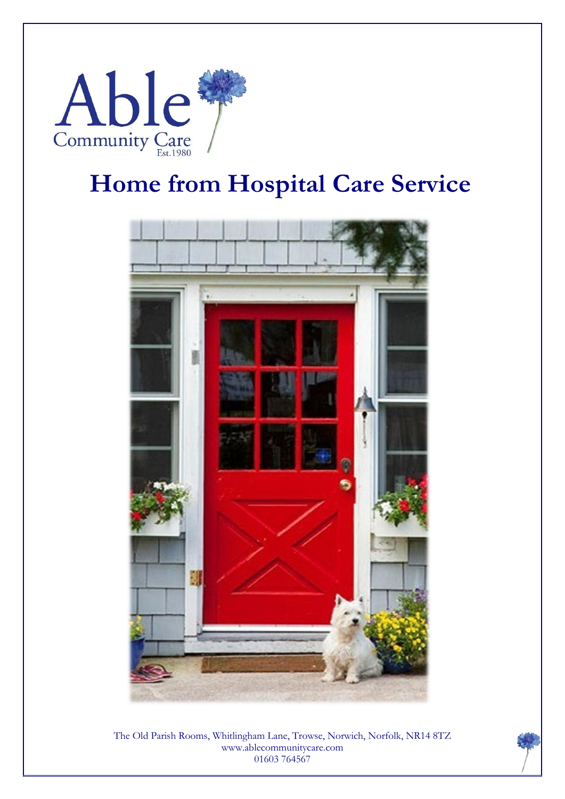

# **Home from Hospital Care Service**



The Old Parish Rooms, Whitlingham Lane, Trowse, Norwich, Norfolk, NR14 8TZ www.ablecommunitycare.com 01603 764567

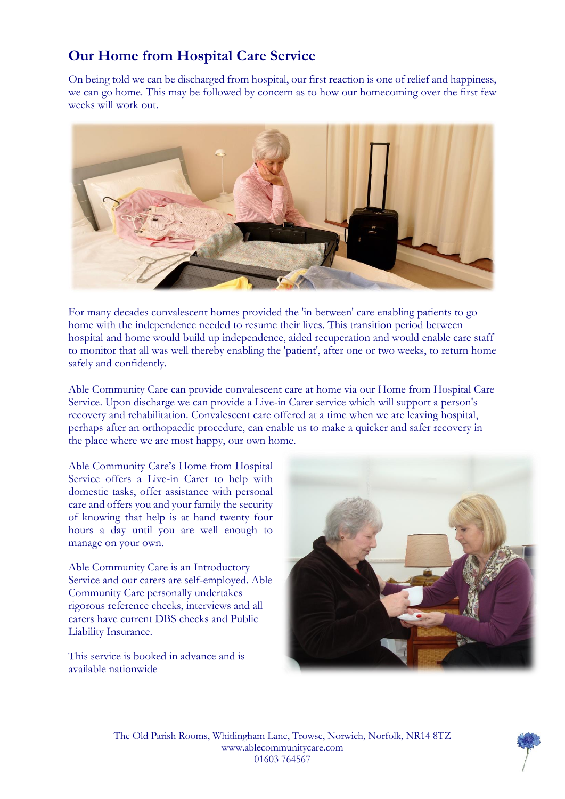## **Our Home from Hospital Care Service**

On being told we can be discharged from hospital, our first reaction is one of relief and happiness, we can go home. This may be followed by concern as to how our homecoming over the first few weeks will work out.



For many decades convalescent homes provided the 'in between' care enabling patients to go home with the independence needed to resume their lives. This transition period between hospital and home would build up independence, aided recuperation and would enable care staff to monitor that all was well thereby enabling the 'patient', after one or two weeks, to return home safely and confidently.

Able Community Care can provide convalescent care at home via our Home from Hospital Care Service. Upon discharge we can provide a Live-in Carer service which will support a person's recovery and rehabilitation. Convalescent care offered at a time when we are leaving hospital, perhaps after an orthopaedic procedure, can enable us to make a quicker and safer recovery in the place where we are most happy, our own home.

Able Community Care's Home from Hospital Service offers a Live-in Carer to help with domestic tasks, offer assistance with personal care and offers you and your family the security of knowing that help is at hand twenty four hours a day until you are well enough to manage on your own.

Able Community Care is an Introductory Service and our carers are self-employed. Able Community Care personally undertakes rigorous reference checks, interviews and all carers have current DBS checks and Public Liability Insurance.

This service is booked in advance and is available nationwide



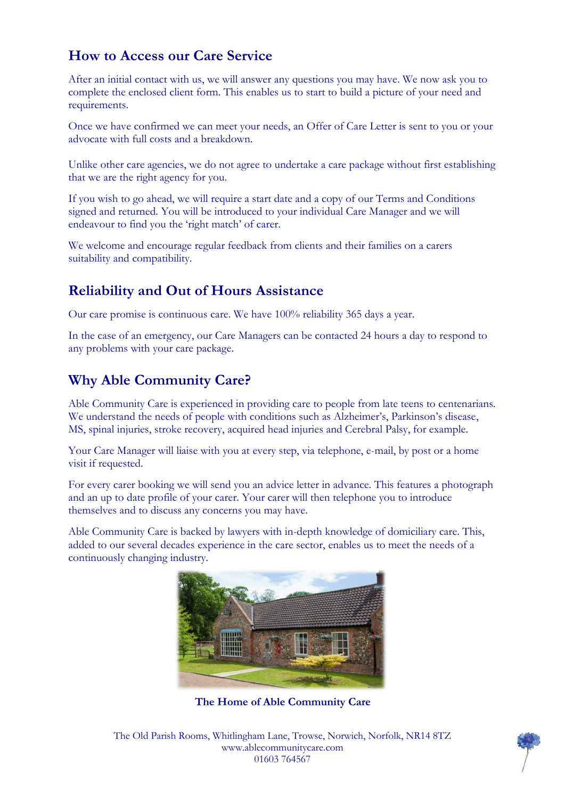### **How to Access our Care Service**

After an initial contact with us, we will answer any questions you may have. We now ask you to complete the enclosed client form. This enables us to start to build a picture of your need and requirements.

Once we have confirmed we can meet your needs, an Offer of Care Letter is sent to you or your advocate with full costs and a breakdown.

Unlike other care agencies, we do not agree to undertake a care package without first establishing that we are the right agency for you.

If you wish to go ahead, we will require a start date and a copy of our Terms and Conditions signed and returned. You will be introduced to your individual Care Manager and we will endeavour to find you the 'right match' of carer.

We welcome and encourage regular feedback from clients and their families on a carers suitability and compatibility.

#### **Reliability and Out of Hours Assistance**

Our care promise is continuous care. We have 100% reliability 365 days a year.

In the case of an emergency, our Care Managers can be contacted 24 hours a day to respond to any problems with your care package.

### **Why Able Community Care?**

Able Community Care is experienced in providing care to people from late teens to centenarians. We understand the needs of people with conditions such as Alzheimer's, Parkinson's disease, MS, spinal injuries, stroke recovery, acquired head injuries and Cerebral Palsy, for example.

Your Care Manager will liaise with you at every step, via telephone, e-mail, by post or a home visit if requested.

For every carer booking we will send you an advice letter in advance. This features a photograph and an up to date profile of your carer. Your carer will then telephone you to introduce themselves and to discuss any concerns you may have.

Able Community Care is backed by lawyers with in-depth knowledge of domiciliary care. This, added to our several decades experience in the care sector, enables us to meet the needs of a continuously changing industry.



**The Home of Able Community Care**

The Old Parish Rooms, Whitlingham Lane, Trowse, Norwich, Norfolk, NR14 8TZ www.ablecommunitycare.com 01603 764567